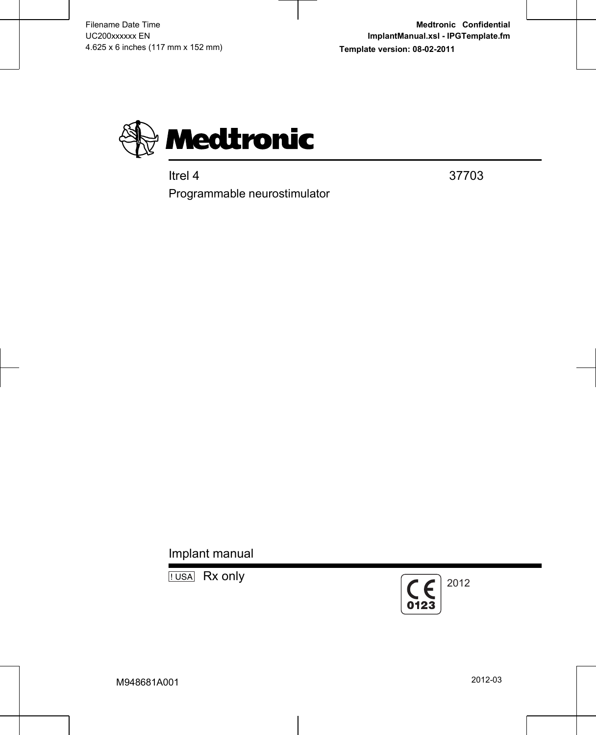

Itrel 4 37703

Programmable neurostimulator

Implant manual

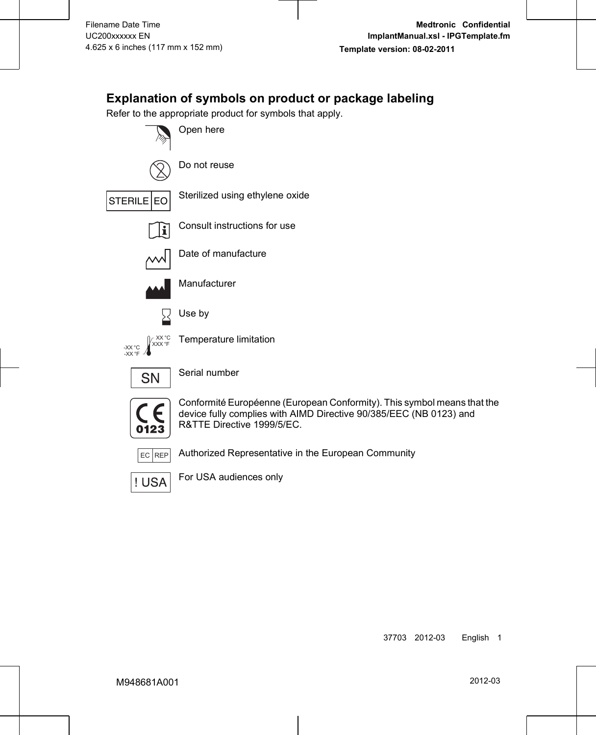## **Explanation of symbols on product or package labeling**

Refer to the appropriate product for symbols that apply.





Do not reuse



STERILE EO Sterilized using ethylene oxide



Consult instructions for use



Date of manufacture



Manufacturer





Temperature limitation



Serial number



Conformité Européenne (European Conformity). This symbol means that the device fully complies with AIMD Directive 90/385/EEC (NB 0123) and R&TTE Directive 1999/5/EC.



EC REP Authorized Representative in the European Community



For USA audiences only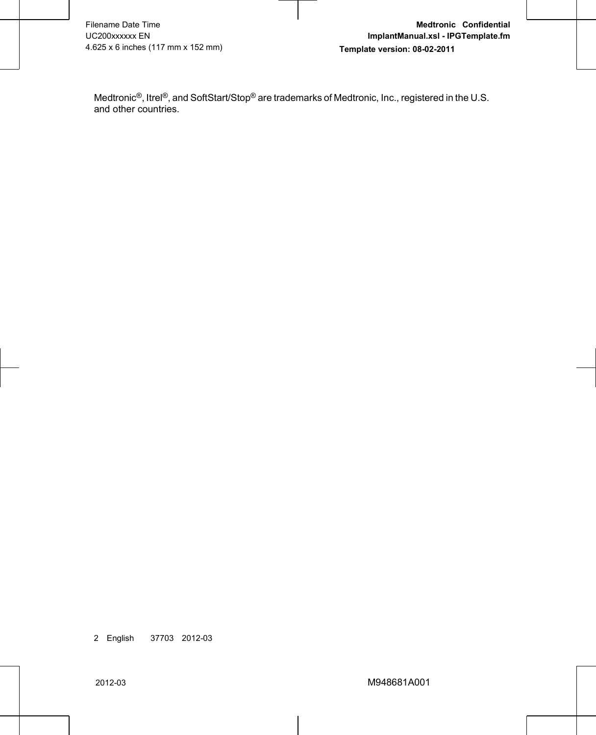Medtronic®, Itrel®, and SoftStart/Stop® are trademarks of Medtronic, Inc., registered in the U.S. and other countries.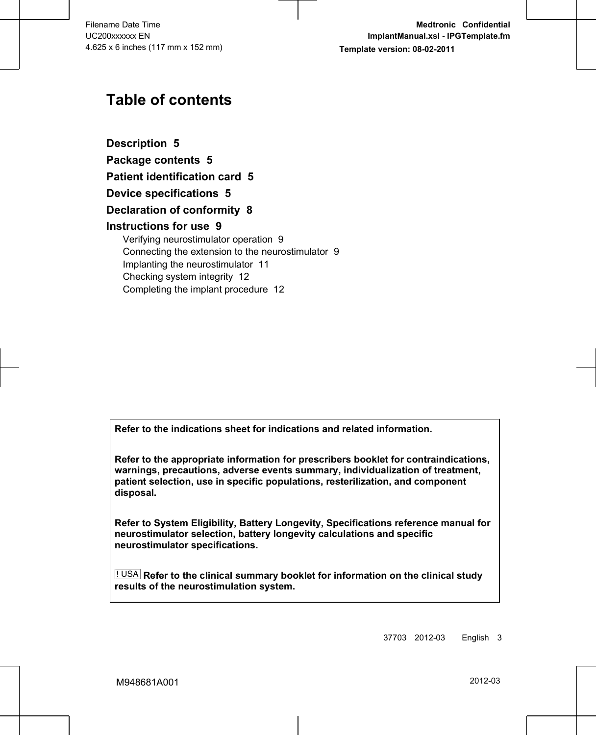## **Table of contents**

**[Description 5](#page-6-0) [Package contents 5](#page-6-0) [Patient identification card 5](#page-6-0) [Device specifications 5](#page-6-0) [Declaration of conformity 8](#page-9-0) [Instructions for use 9](#page-10-0)** [Verifying neurostimulator operation 9](#page-10-0) [Connecting the extension to the neurostimulator 9](#page-10-0) [Implanting the neurostimulator 11](#page-12-0) [Checking system integrity 12](#page-13-0) [Completing the implant procedure 12](#page-13-0)

**Refer to the indications sheet for indications and related information.**

**Refer to the appropriate information for prescribers booklet for contraindications, warnings, precautions, adverse events summary, individualization of treatment, patient selection, use in specific populations, resterilization, and component disposal.**

**Refer to System Eligibility, Battery Longevity, Specifications reference manual for neurostimulator selection, battery longevity calculations and specific neurostimulator specifications.**

! USA **Refer to the clinical summary booklet for information on the clinical study results of the neurostimulation system.**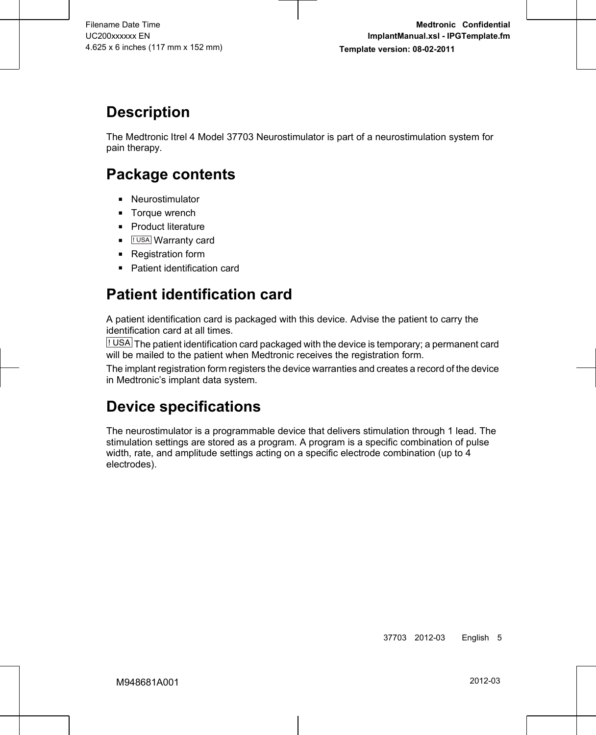# <span id="page-6-0"></span>**Description**

The Medtronic Itrel 4 Model 37703 Neurostimulator is part of a neurostimulation system for pain therapy.

## **Package contents**

- **■** Neurostimulator
- Torque wrench
- **■** Product literature
- **.** [IUSA] Warranty card
- Registration form
- Patient identification card

# **Patient identification card**

A patient identification card is packaged with this device. Advise the patient to carry the identification card at all times.

! USA The patient identification card packaged with the device is temporary; a permanent card will be mailed to the patient when Medtronic receives the registration form.

The implant registration form registers the device warranties and creates a record of the device in Medtronic's implant data system.

# **Device specifications**

The neurostimulator is a programmable device that delivers stimulation through 1 lead. The stimulation settings are stored as a program. A program is a specific combination of pulse width, rate, and amplitude settings acting on a specific electrode combination (up to 4 electrodes).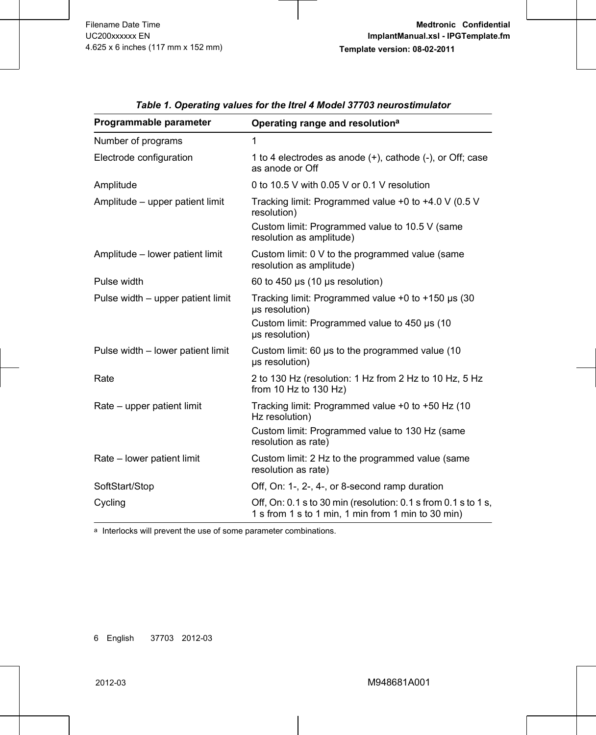| Programmable parameter            | Operating range and resolution <sup>a</sup>                                                                          |  |
|-----------------------------------|----------------------------------------------------------------------------------------------------------------------|--|
| Number of programs                | 1                                                                                                                    |  |
| Electrode configuration           | 1 to 4 electrodes as anode (+), cathode (-), or Off; case<br>as anode or Off                                         |  |
| Amplitude                         | 0 to 10.5 V with 0.05 V or 0.1 V resolution                                                                          |  |
| Amplitude - upper patient limit   | Tracking limit: Programmed value +0 to +4.0 V (0.5 V<br>resolution)                                                  |  |
|                                   | Custom limit: Programmed value to 10.5 V (same<br>resolution as amplitude)                                           |  |
| Amplitude - lower patient limit   | Custom limit: 0 V to the programmed value (same<br>resolution as amplitude)                                          |  |
| Pulse width                       | 60 to 450 $\mu$ s (10 $\mu$ s resolution)                                                                            |  |
| Pulse width – upper patient limit | Tracking limit: Programmed value $+0$ to $+150$ µs (30<br>us resolution)                                             |  |
|                                   | Custom limit: Programmed value to 450 µs (10)<br>us resolution)                                                      |  |
| Pulse width - lower patient limit | Custom limit: 60 us to the programmed value (10)<br>us resolution)                                                   |  |
| Rate                              | 2 to 130 Hz (resolution: 1 Hz from 2 Hz to 10 Hz, 5 Hz<br>from 10 Hz to 130 Hz)                                      |  |
| Rate – upper patient limit        | Tracking limit: Programmed value +0 to +50 Hz (10<br>Hz resolution)                                                  |  |
|                                   | Custom limit: Programmed value to 130 Hz (same<br>resolution as rate)                                                |  |
| Rate - lower patient limit        | Custom limit: 2 Hz to the programmed value (same<br>resolution as rate)                                              |  |
| SoftStart/Stop                    | Off, On: 1-, 2-, 4-, or 8-second ramp duration                                                                       |  |
| Cycling                           | Off, On: 0.1 s to 30 min (resolution: 0.1 s from 0.1 s to 1 s,<br>1 s from 1 s to 1 min, 1 min from 1 min to 30 min) |  |

*Table 1. Operating values for the Itrel 4 Model 37703 neurostimulator*

a Interlocks will prevent the use of some parameter combinations.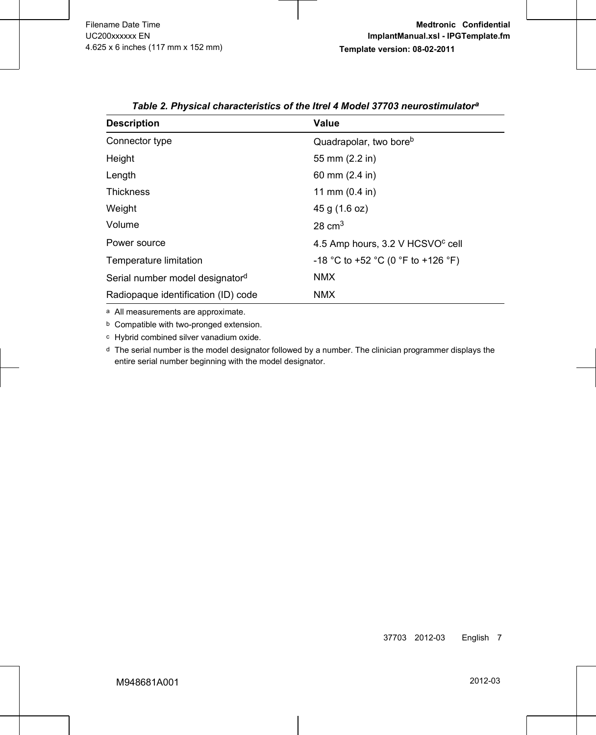| <b>Description</b>                  | Value                                        |
|-------------------------------------|----------------------------------------------|
| Connector type                      | Quadrapolar, two bore <sup>b</sup>           |
| Height                              | 55 mm (2.2 in)                               |
| Length                              | 60 mm (2.4 in)                               |
| <b>Thickness</b>                    | 11 mm $(0.4 \text{ in})$                     |
| Weight                              | 45 g (1.6 oz)                                |
| Volume                              | $28 \text{ cm}^3$                            |
| Power source                        | 4.5 Amp hours, 3.2 V HCSVO <sup>c</sup> cell |
| Temperature limitation              | -18 °C to +52 °C (0 °F to +126 °F)           |
| Serial number model designatord     | <b>NMX</b>                                   |
| Radiopaque identification (ID) code | <b>NMX</b>                                   |

*Table 2. Physical characteristics of the Itrel 4 Model 37703 neurostimulator<sup>a</sup>*

a All measurements are approximate.

b Compatible with two-pronged extension.

c Hybrid combined silver vanadium oxide.

d The serial number is the model designator followed by a number. The clinician programmer displays the entire serial number beginning with the model designator.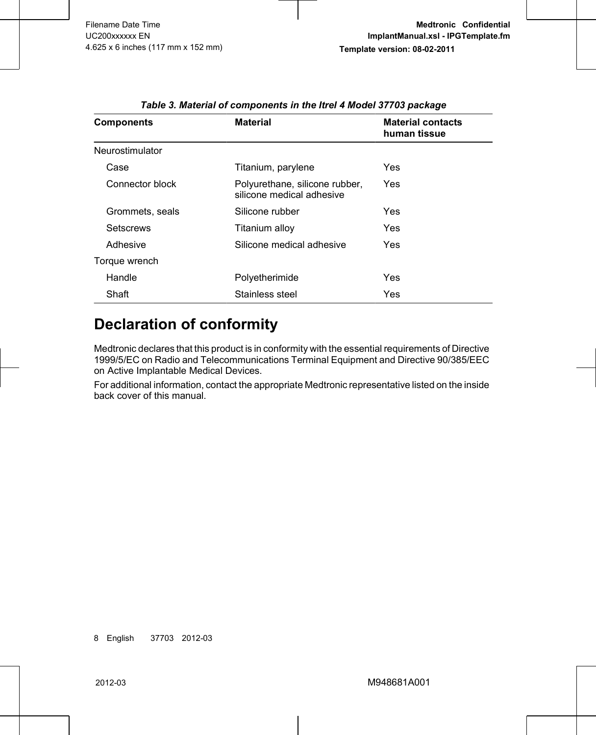<span id="page-9-0"></span>

| <b>Components</b> | <b>Material</b>                                             | <b>Material contacts</b><br>human tissue |
|-------------------|-------------------------------------------------------------|------------------------------------------|
| Neurostimulator   |                                                             |                                          |
| Case              | Titanium, parylene                                          | Yes                                      |
| Connector block   | Polyurethane, silicone rubber,<br>silicone medical adhesive | Yes                                      |
| Grommets, seals   | Silicone rubber                                             | Yes                                      |
| Setscrews         | Titanium alloy                                              | Yes                                      |
| Adhesive          | Silicone medical adhesive                                   | Yes                                      |
| Torque wrench     |                                                             |                                          |
| Handle            | Polyetherimide                                              | Yes                                      |
| Shaft             | Stainless steel                                             | Yes                                      |

*Table 3. Material of components in the Itrel 4 Model 37703 package*

## **Declaration of conformity**

Medtronic declares that this product is in conformity with the essential requirements of Directive 1999/5/EC on Radio and Telecommunications Terminal Equipment and Directive 90/385/EEC on Active Implantable Medical Devices.

For additional information, contact the appropriate Medtronic representative listed on the inside back cover of this manual.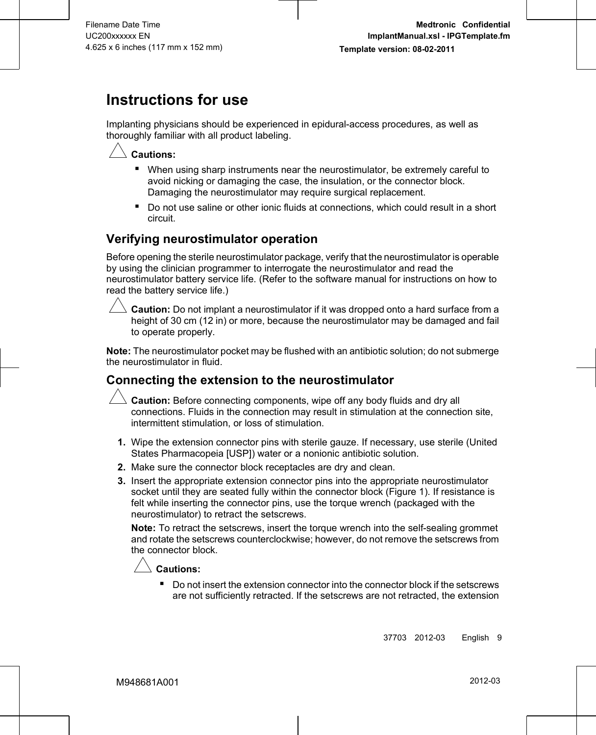# <span id="page-10-0"></span>**Instructions for use**

Implanting physicians should be experienced in epidural-access procedures, as well as thoroughly familiar with all product labeling.



### **Cautions:**

- When using sharp instruments near the neurostimulator, be extremely careful to avoid nicking or damaging the case, the insulation, or the connector block. Damaging the neurostimulator may require surgical replacement.
- Do not use saline or other ionic fluids at connections, which could result in a short circuit.

### **Verifying neurostimulator operation**

Before opening the sterile neurostimulator package, verify that the neurostimulator is operable by using the clinician programmer to interrogate the neurostimulator and read the neurostimulator battery service life. (Refer to the software manual for instructions on how to read the battery service life.)



 $\triangle$  **Caution:** Do not implant a neurostimulator if it was dropped onto a hard surface from a height of 30 cm (12 in) or more, because the neurostimulator may be damaged and fail to operate properly.

**Note:** The neurostimulator pocket may be flushed with an antibiotic solution; do not submerge the neurostimulator in fluid.

### **Connecting the extension to the neurostimulator**



# **Caution:** Before connecting components, wipe off any body fluids and dry all connections. Fluids in the connection may result in stimulation at the connection site, intermittent stimulation, or loss of stimulation.

- **1.** Wipe the extension connector pins with sterile gauze. If necessary, use sterile (United States Pharmacopeia [USP]) water or a nonionic antibiotic solution.
- **2.** Make sure the connector block receptacles are dry and clean.
- **3.** Insert the appropriate extension connector pins into the appropriate neurostimulator socket until they are seated fully within the connector block ([Figure 1\)](#page-11-0). If resistance is felt while inserting the connector pins, use the torque wrench (packaged with the neurostimulator) to retract the setscrews.

**Note:** To retract the setscrews, insert the torque wrench into the self-sealing grommet and rotate the setscrews counterclockwise; however, do not remove the setscrews from the connector block.



■ Do not insert the extension connector into the connector block if the setscrews are not sufficiently retracted. If the setscrews are not retracted, the extension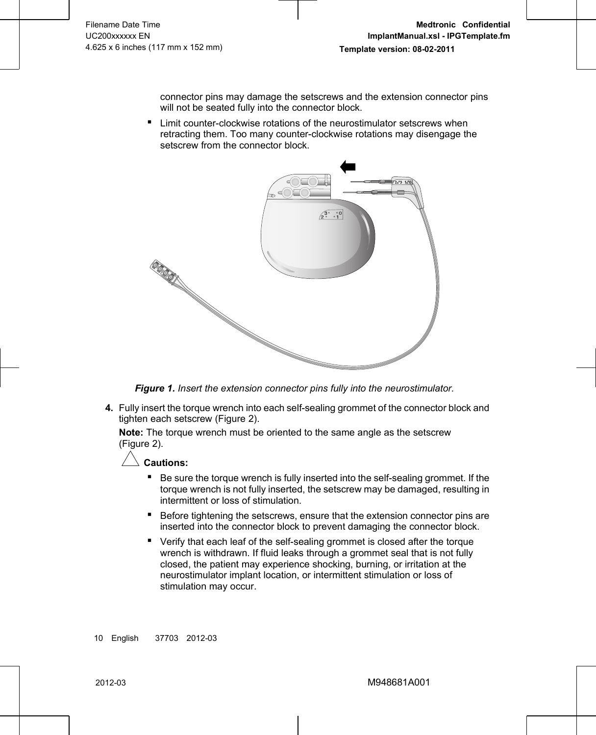connector pins may damage the setscrews and the extension connector pins will not be seated fully into the connector block.

<span id="page-11-0"></span>■ Limit counter-clockwise rotations of the neurostimulator setscrews when retracting them. Too many counter-clockwise rotations may disengage the setscrew from the connector block.



*Figure 1. Insert the extension connector pins fully into the neurostimulator.*

**4.** Fully insert the torque wrench into each self-sealing grommet of the connector block and tighten each setscrew ([Figure 2\)](#page-12-0).

**Note:** The torque wrench must be oriented to the same angle as the setscrew ([Figure 2\)](#page-12-0).



- Be sure the torque wrench is fully inserted into the self-sealing grommet. If the torque wrench is not fully inserted, the setscrew may be damaged, resulting in intermittent or loss of stimulation.
- Before tightening the setscrews, ensure that the extension connector pins are inserted into the connector block to prevent damaging the connector block.
- Verify that each leaf of the self-sealing grommet is closed after the torque wrench is withdrawn. If fluid leaks through a grommet seal that is not fully closed, the patient may experience shocking, burning, or irritation at the neurostimulator implant location, or intermittent stimulation or loss of stimulation may occur.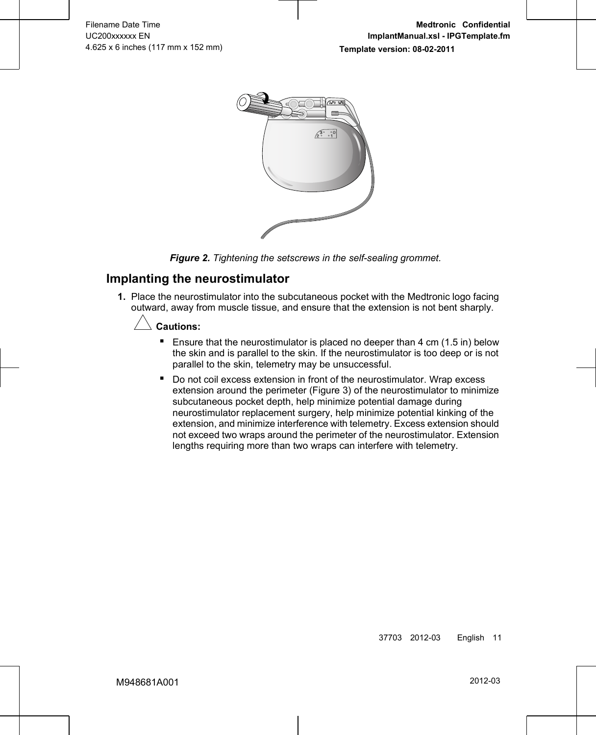<span id="page-12-0"></span>

*Figure 2. Tightening the setscrews in the self-sealing grommet.*

### **Implanting the neurostimulator**

**1.** Place the neurostimulator into the subcutaneous pocket with the Medtronic logo facing outward, away from muscle tissue, and ensure that the extension is not bent sharply.

### $C$ autions:

- **E** Ensure that the neurostimulator is placed no deeper than  $4 \text{ cm } (1.5 \text{ in})$  below the skin and is parallel to the skin. If the neurostimulator is too deep or is not parallel to the skin, telemetry may be unsuccessful.
- Do not coil excess extension in front of the neurostimulator. Wrap excess extension around the perimeter ([Figure 3\)](#page-13-0) of the neurostimulator to minimize subcutaneous pocket depth, help minimize potential damage during neurostimulator replacement surgery, help minimize potential kinking of the extension, and minimize interference with telemetry. Excess extension should not exceed two wraps around the perimeter of the neurostimulator. Extension lengths requiring more than two wraps can interfere with telemetry.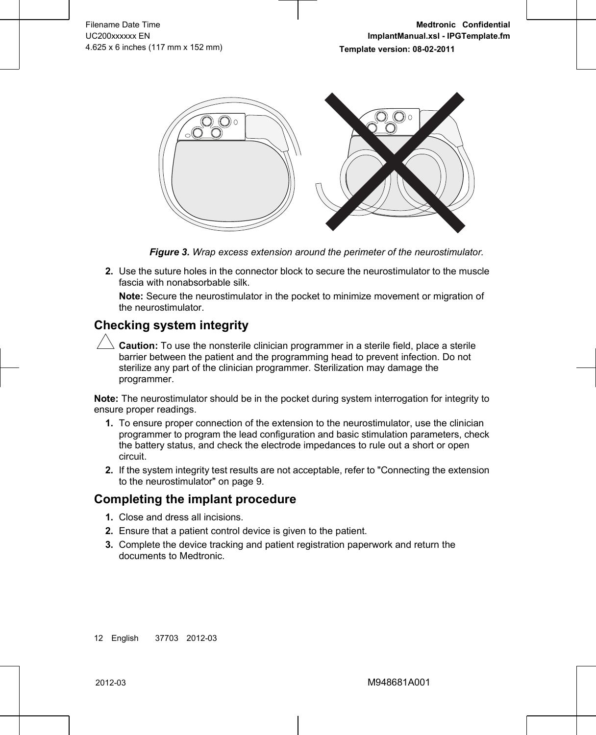<span id="page-13-0"></span>

*Figure 3. Wrap excess extension around the perimeter of the neurostimulator.*

**2.** Use the suture holes in the connector block to secure the neurostimulator to the muscle fascia with nonabsorbable silk.

**Note:** Secure the neurostimulator in the pocket to minimize movement or migration of the neurostimulator.

### **Checking system integrity**

**Caution:** To use the nonsterile clinician programmer in a sterile field, place a sterile barrier between the patient and the programming head to prevent infection. Do not sterilize any part of the clinician programmer. Sterilization may damage the programmer.

**Note:** The neurostimulator should be in the pocket during system interrogation for integrity to ensure proper readings.

- **1.** To ensure proper connection of the extension to the neurostimulator, use the clinician programmer to program the lead configuration and basic stimulation parameters, check the battery status, and check the electrode impedances to rule out a short or open circuit.
- **2.** If the system integrity test results are not acceptable, refer to ["Connecting the extension](#page-10-0) [to the neurostimulator" on page 9.](#page-10-0)

### **Completing the implant procedure**

- **1.** Close and dress all incisions.
- **2.** Ensure that a patient control device is given to the patient.
- **3.** Complete the device tracking and patient registration paperwork and return the documents to Medtronic.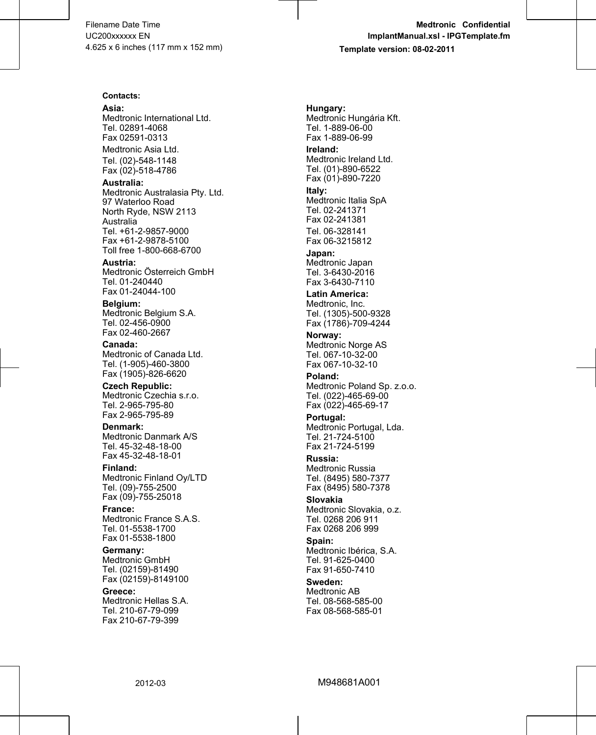#### **Contacts:**

**Asia:**

Medtronic International Ltd. Tel. 02891-4068 Fax 02591-0313 Medtronic Asia Ltd.

Tel. (02)-548-1148 Fax (02)-518-4786

**Australia:**

Medtronic Australasia Pty. Ltd. 97 Waterloo Road North Ryde, NSW 2113 Australia Tel. +61-2-9857-9000 Fax +61-2-9878-5100 Toll free 1-800-668-6700

**Austria:** Medtronic Österreich GmbH Tel. 01-240440 Fax 01-24044-100

**Belgium:** Medtronic Belgium S.A. Tel. 02-456-0900 Fax 02-460-2667

**Canada:** Medtronic of Canada Ltd. Tel. (1-905)-460-3800 Fax (1905)-826-6620

**Czech Republic:** Medtronic Czechia s.r.o. Tel. 2-965-795-80 Fax 2-965-795-89

**Denmark:** Medtronic Danmark A/S Tel. 45-32-48-18-00 Fax 45-32-48-18-01

**Finland:** Medtronic Finland Oy/LTD Tel. (09)-755-2500 Fax (09)-755-25018

**France:** Medtronic France S.A.S. Tel. 01-5538-1700 Fax 01-5538-1800

**Germany:** Medtronic GmbH Tel. (02159)-81490 Fax (02159)-8149100

**Greece:** Medtronic Hellas S.A. Tel. 210-67-79-099 Fax 210-67-79-399

**Hungary:** Medtronic Hungária Kft. Tel. 1-889-06-00 Fax 1-889-06-99

**Ireland:** Medtronic Ireland Ltd. Tel. (01)-890-6522 Fax (01)-890-7220

**Italy:** Medtronic Italia SpA Tel. 02-241371 Fax 02-241381 Tel. 06-328141 Fax 06-3215812

**Japan:** Medtronic Japan Tel. 3-6430-2016 Fax 3-6430-7110

**Latin America:** Medtronic, Inc. Tel. (1305)-500-9328 Fax (1786)-709-4244

**Norway:** Medtronic Norge AS Tel. 067-10-32-00 Fax 067-10-32-10

**Poland:** Medtronic Poland Sp. z.o.o. Tel. (022)-465-69-00 Fax (022)-465-69-17

**Portugal:** Medtronic Portugal, Lda. Tel. 21-724-5100 Fax 21-724-5199

**Russia:** Medtronic Russia Tel. (8495) 580-7377 Fax (8495) 580-7378

**Slovakia** Medtronic Slovakia, o.z. Tel. 0268 206 911 Fax 0268 206 999

**Spain:** Medtronic Ibérica, S.A. Tel. 91-625-0400 Fax 91-650-7410

**Sweden:** Medtronic AB Tel. 08-568-585-00 Fax 08-568-585-01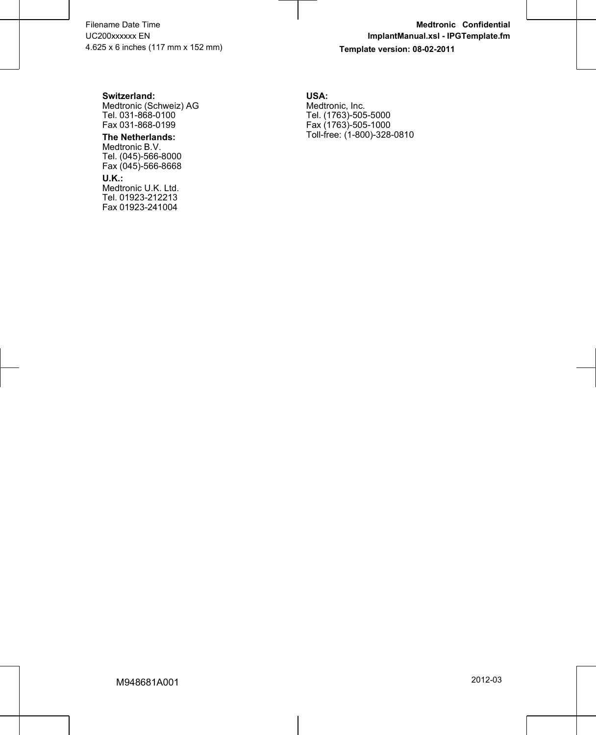#### **Switzerland:**

Medtronic (Schweiz) AG Tel. 031-868-0100 Fax 031-868-0199

#### **The Netherlands:**

Medtronic B.V. Tel. (045)-566-8000 Fax (045)-566-8668

#### **U.K.:**

Medtronic U.K. Ltd. Tel. 01923-212213 Fax 01923-241004 **USA:** Medtronic, Inc. Tel. (1763)-505-5000 Fax (1763)-505-1000 Toll-free: (1-800)-328-0810